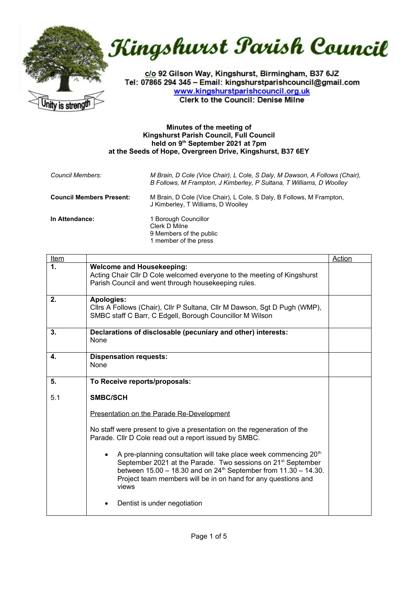

Kingshurst Parish Council

c/o 92 Gilson Way, Kingshurst, Birmingham, B37 6JZ Tel: 07865 294 345 - Email: kingshurstparishcouncil@gmail.com www.kingshurstparishcouncil.org.uk **Clerk to the Council: Denise Milne** 

## **Minutes of the meeting of Kingshurst Parish Council, Full Council held on 9th September 2021 at 7pm at the Seeds of Hope, Overgreen Drive, Kingshurst, B37 6EY**

| Council Members:                | M Brain, D Cole (Vice Chair), L Cole, S Daly, M Dawson, A Follows (Chair),<br>B Follows, M Frampton, J Kimberley, P Sultana, T Williams, D Woolley |
|---------------------------------|----------------------------------------------------------------------------------------------------------------------------------------------------|
| <b>Council Members Present:</b> | M Brain, D Cole (Vice Chair), L Cole, S Daly, B Follows, M Frampton,<br>J Kimberley, T Williams, D Woolley                                         |
| In Attendance:                  | 1 Borough Councillor<br>Clerk D Milne<br>9 Members of the public<br>1 member of the press                                                          |

| <b>Item</b> |                                                                                                                                                                                                                                                                                                                        | Action |
|-------------|------------------------------------------------------------------------------------------------------------------------------------------------------------------------------------------------------------------------------------------------------------------------------------------------------------------------|--------|
| 1.          | <b>Welcome and Housekeeping:</b><br>Acting Chair Cllr D Cole welcomed everyone to the meeting of Kingshurst<br>Parish Council and went through housekeeping rules.                                                                                                                                                     |        |
| 2.          | <b>Apologies:</b><br>Clirs A Follows (Chair), Clir P Sultana, Clir M Dawson, Sgt D Pugh (WMP),<br>SMBC staff C Barr, C Edgell, Borough Councillor M Wilson                                                                                                                                                             |        |
| 3.          | Declarations of disclosable (pecuniary and other) interests:<br>None                                                                                                                                                                                                                                                   |        |
| 4.          | <b>Dispensation requests:</b><br>None                                                                                                                                                                                                                                                                                  |        |
| 5.          | To Receive reports/proposals:                                                                                                                                                                                                                                                                                          |        |
| 5.1         | <b>SMBC/SCH</b>                                                                                                                                                                                                                                                                                                        |        |
|             | <b>Presentation on the Parade Re-Development</b>                                                                                                                                                                                                                                                                       |        |
|             | No staff were present to give a presentation on the regeneration of the<br>Parade. Cllr D Cole read out a report issued by SMBC.                                                                                                                                                                                       |        |
|             | A pre-planning consultation will take place week commencing 20 <sup>th</sup><br>September 2021 at the Parade. Two sessions on 21 <sup>st</sup> September<br>between $15.00 - 18.30$ and on $24^{\text{th}}$ September from $11.30 - 14.30$ .<br>Project team members will be in on hand for any questions and<br>views |        |
|             | Dentist is under negotiation                                                                                                                                                                                                                                                                                           |        |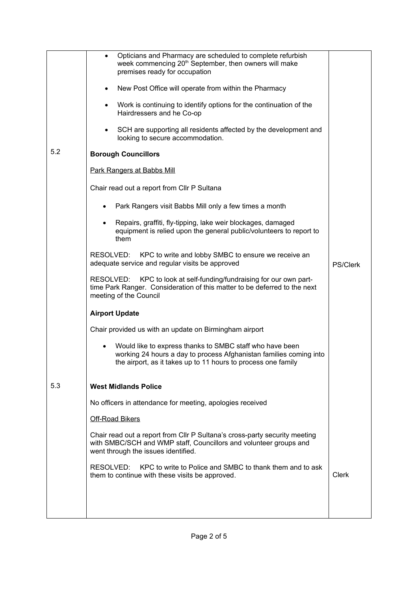|     | Opticians and Pharmacy are scheduled to complete refurbish<br>$\bullet$<br>week commencing 20 <sup>th</sup> September, then owners will make<br>premises ready for occupation<br>New Post Office will operate from within the Pharmacy<br>Work is continuing to identify options for the continuation of the<br>Hairdressers and he Co-op<br>SCH are supporting all residents affected by the development and<br>looking to secure accommodation. |                 |
|-----|---------------------------------------------------------------------------------------------------------------------------------------------------------------------------------------------------------------------------------------------------------------------------------------------------------------------------------------------------------------------------------------------------------------------------------------------------|-----------------|
| 5.2 | <b>Borough Councillors</b>                                                                                                                                                                                                                                                                                                                                                                                                                        |                 |
|     | <b>Park Rangers at Babbs Mill</b>                                                                                                                                                                                                                                                                                                                                                                                                                 |                 |
|     | Chair read out a report from Cllr P Sultana                                                                                                                                                                                                                                                                                                                                                                                                       |                 |
|     | Park Rangers visit Babbs Mill only a few times a month                                                                                                                                                                                                                                                                                                                                                                                            |                 |
|     | Repairs, graffiti, fly-tipping, lake weir blockages, damaged<br>equipment is relied upon the general public/volunteers to report to<br>them                                                                                                                                                                                                                                                                                                       |                 |
|     | KPC to write and lobby SMBC to ensure we receive an<br>RESOLVED:<br>adequate service and regular visits be approved                                                                                                                                                                                                                                                                                                                               | <b>PS/Clerk</b> |
|     | KPC to look at self-funding/fundraising for our own part-<br>RESOLVED:<br>time Park Ranger. Consideration of this matter to be deferred to the next<br>meeting of the Council                                                                                                                                                                                                                                                                     |                 |
|     | <b>Airport Update</b>                                                                                                                                                                                                                                                                                                                                                                                                                             |                 |
|     | Chair provided us with an update on Birmingham airport                                                                                                                                                                                                                                                                                                                                                                                            |                 |
|     | Would like to express thanks to SMBC staff who have been<br>working 24 hours a day to process Afghanistan families coming into<br>the airport, as it takes up to 11 hours to process one family                                                                                                                                                                                                                                                   |                 |
| 5.3 | <b>West Midlands Police</b>                                                                                                                                                                                                                                                                                                                                                                                                                       |                 |
|     | No officers in attendance for meeting, apologies received                                                                                                                                                                                                                                                                                                                                                                                         |                 |
|     | <b>Off-Road Bikers</b>                                                                                                                                                                                                                                                                                                                                                                                                                            |                 |
|     | Chair read out a report from Cllr P Sultana's cross-party security meeting<br>with SMBC/SCH and WMP staff, Councillors and volunteer groups and<br>went through the issues identified.                                                                                                                                                                                                                                                            |                 |
|     | KPC to write to Police and SMBC to thank them and to ask<br>RESOLVED:<br>them to continue with these visits be approved.                                                                                                                                                                                                                                                                                                                          | <b>Clerk</b>    |
|     |                                                                                                                                                                                                                                                                                                                                                                                                                                                   |                 |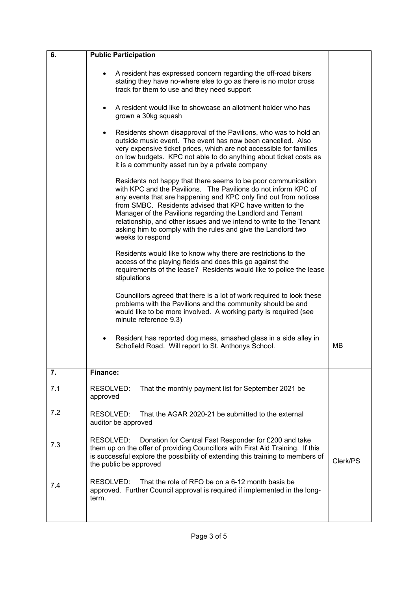| 6.  | <b>Public Participation</b>                                                                                                                                                                                                                                                                                                                                                                                                                                                                |          |
|-----|--------------------------------------------------------------------------------------------------------------------------------------------------------------------------------------------------------------------------------------------------------------------------------------------------------------------------------------------------------------------------------------------------------------------------------------------------------------------------------------------|----------|
|     | A resident has expressed concern regarding the off-road bikers<br>stating they have no-where else to go as there is no motor cross<br>track for them to use and they need support                                                                                                                                                                                                                                                                                                          |          |
|     | A resident would like to showcase an allotment holder who has<br>$\bullet$<br>grown a 30kg squash                                                                                                                                                                                                                                                                                                                                                                                          |          |
|     | Residents shown disapproval of the Pavilions, who was to hold an<br>$\bullet$<br>outside music event. The event has now been cancelled. Also<br>very expensive ticket prices, which are not accessible for families<br>on low budgets. KPC not able to do anything about ticket costs as<br>it is a community asset run by a private company                                                                                                                                               |          |
|     | Residents not happy that there seems to be poor communication<br>with KPC and the Pavilions. The Pavilions do not inform KPC of<br>any events that are happening and KPC only find out from notices<br>from SMBC. Residents advised that KPC have written to the<br>Manager of the Pavilions regarding the Landlord and Tenant<br>relationship, and other issues and we intend to write to the Tenant<br>asking him to comply with the rules and give the Landlord two<br>weeks to respond |          |
|     | Residents would like to know why there are restrictions to the<br>access of the playing fields and does this go against the<br>requirements of the lease? Residents would like to police the lease<br>stipulations                                                                                                                                                                                                                                                                         |          |
|     | Councillors agreed that there is a lot of work required to look these<br>problems with the Pavilions and the community should be and<br>would like to be more involved. A working party is required (see<br>minute reference 9.3)                                                                                                                                                                                                                                                          |          |
|     | Resident has reported dog mess, smashed glass in a side alley in<br>$\bullet$<br>Schofield Road. Will report to St. Anthonys School.                                                                                                                                                                                                                                                                                                                                                       | MВ       |
| 7.  | <b>Finance:</b>                                                                                                                                                                                                                                                                                                                                                                                                                                                                            |          |
| 7.1 | RESOLVED:<br>That the monthly payment list for September 2021 be<br>approved                                                                                                                                                                                                                                                                                                                                                                                                               |          |
| 7.2 | RESOLVED:<br>That the AGAR 2020-21 be submitted to the external<br>auditor be approved                                                                                                                                                                                                                                                                                                                                                                                                     |          |
| 7.3 | RESOLVED:<br>Donation for Central Fast Responder for £200 and take<br>them up on the offer of providing Councillors with First Aid Training. If this<br>is successful explore the possibility of extending this training to members of<br>the public be approved                                                                                                                                                                                                                           | Clerk/PS |
| 7.4 | That the role of RFO be on a 6-12 month basis be<br>RESOLVED:<br>approved. Further Council approval is required if implemented in the long-<br>term.                                                                                                                                                                                                                                                                                                                                       |          |
|     |                                                                                                                                                                                                                                                                                                                                                                                                                                                                                            |          |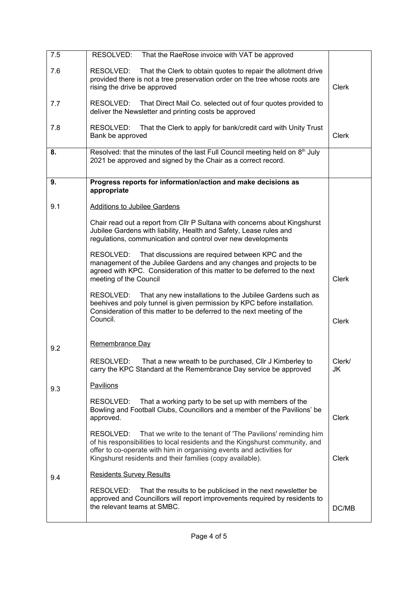| 7.5 | RESOLVED:<br>That the RaeRose invoice with VAT be approved                                                                                                                                                                                                                                     |              |
|-----|------------------------------------------------------------------------------------------------------------------------------------------------------------------------------------------------------------------------------------------------------------------------------------------------|--------------|
| 7.6 | RESOLVED:<br>That the Clerk to obtain quotes to repair the allotment drive<br>provided there is not a tree preservation order on the tree whose roots are<br>rising the drive be approved                                                                                                      | <b>Clerk</b> |
| 7.7 | RESOLVED:<br>That Direct Mail Co. selected out of four quotes provided to<br>deliver the Newsletter and printing costs be approved                                                                                                                                                             |              |
| 7.8 | RESOLVED:<br>That the Clerk to apply for bank/credit card with Unity Trust<br>Bank be approved                                                                                                                                                                                                 | Clerk        |
| 8.  | Resolved: that the minutes of the last Full Council meeting held on 8th July<br>2021 be approved and signed by the Chair as a correct record.                                                                                                                                                  |              |
| 9.  | Progress reports for information/action and make decisions as<br>appropriate                                                                                                                                                                                                                   |              |
| 9.1 | <b>Additions to Jubilee Gardens</b>                                                                                                                                                                                                                                                            |              |
|     | Chair read out a report from Cllr P Sultana with concerns about Kingshurst<br>Jubilee Gardens with liability, Health and Safety, Lease rules and<br>regulations, communication and control over new developments                                                                               |              |
|     | RESOLVED:<br>That discussions are required between KPC and the<br>management of the Jubilee Gardens and any changes and projects to be<br>agreed with KPC. Consideration of this matter to be deferred to the next<br>meeting of the Council                                                   | <b>Clerk</b> |
|     | RESOLVED:<br>That any new installations to the Jubilee Gardens such as<br>beehives and poly tunnel is given permission by KPC before installation.<br>Consideration of this matter to be deferred to the next meeting of the<br>Council.                                                       | <b>Clerk</b> |
| 9.2 | Remembrance Day                                                                                                                                                                                                                                                                                |              |
|     | RESOLVED:<br>That a new wreath to be purchased, Cllr J Kimberley to<br>carry the KPC Standard at the Remembrance Day service be approved                                                                                                                                                       | Clerk/<br>JK |
| 9.3 | Pavilions                                                                                                                                                                                                                                                                                      |              |
|     | RESOLVED:<br>That a working party to be set up with members of the<br>Bowling and Football Clubs, Councillors and a member of the Pavilions' be<br>approved.                                                                                                                                   | <b>Clerk</b> |
|     | RESOLVED:<br>That we write to the tenant of 'The Pavilions' reminding him<br>of his responsibilities to local residents and the Kingshurst community, and<br>offer to co-operate with him in organising events and activities for<br>Kingshurst residents and their families (copy available). | <b>Clerk</b> |
| 9.4 | <b>Residents Survey Results</b>                                                                                                                                                                                                                                                                |              |
|     | That the results to be publicised in the next newsletter be<br>RESOLVED:<br>approved and Councillors will report improvements required by residents to<br>the relevant teams at SMBC.                                                                                                          | DC/MB        |